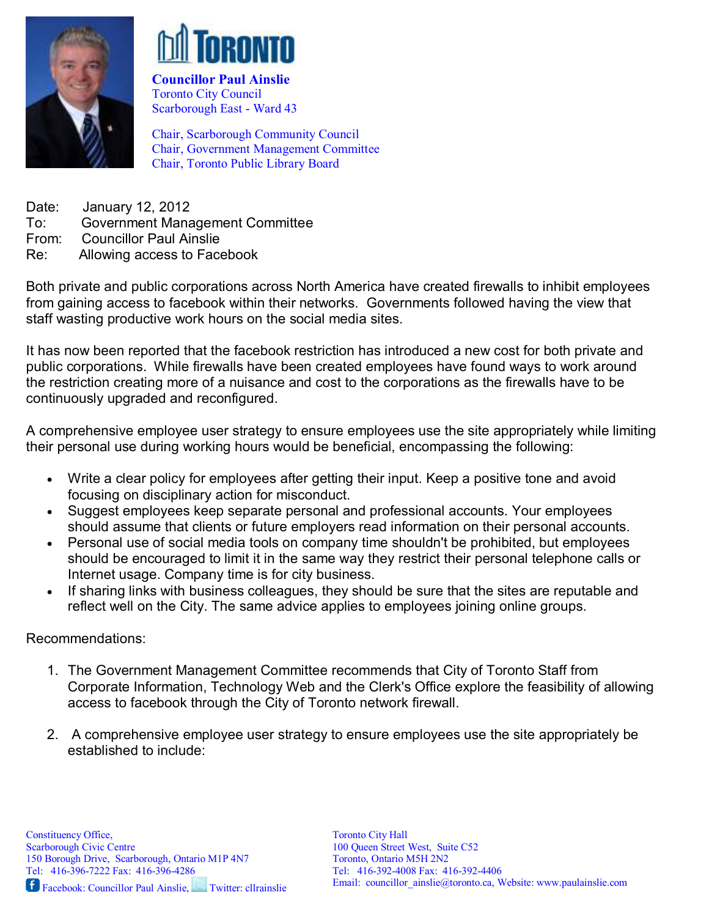



Councillor Paul Ainslie Toronto City Council Scarborough East - Ward 43

Chair, Scarborough Community Council Chair, Government Management Committee Chair, Toronto Public Library Board

Date: January 12, 2012 To: Government Management Committee From: Councillor Paul Ainslie Re: Allowing access to Facebook

Both private and public corporations across North America have created firewalls to inhibit employees from gaining access to facebook within their networks. Governments followed having the view that staff wasting productive work hours on the social media sites.

It has now been reported that the facebook restriction has introduced a new cost for both private and public corporations. While firewalls have been created employees have found ways to work around the restriction creating more of a nuisance and cost to the corporations as the firewalls have to be continuously upgraded and reconfigured.

A comprehensive employee user strategy to ensure employees use the site appropriately while limiting their personal use during working hours would be beneficial, encompassing the following:

- Write a clear policy for employees after getting their input. Keep a positive tone and avoid focusing on disciplinary action for misconduct.
- Suggest employees keep separate personal and professional accounts. Your employees should assume that clients or future employers read information on their personal accounts.
- Personal use of social media tools on company time shouldn't be prohibited, but employees should be encouraged to limit it in the same way they restrict their personal telephone calls or Internet usage. Company time is for city business.
- If sharing links with business colleagues, they should be sure that the sites are reputable and reflect well on the City. The same advice applies to employees joining online groups.

Recommendations:

- 1. The Government Management Committee recommends that City of Toronto Staff from Corporate Information, Technology Web and the Clerk's Office explore the feasibility of allowing access to facebook through the City of Toronto network firewall.
- 2. A comprehensive employee user strategy to ensure employees use the site appropriately be established to include: